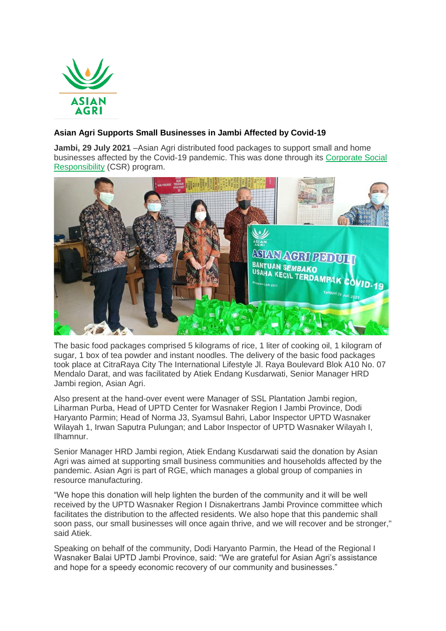

## **Asian Agri Supports Small Businesses in Jambi Affected by Covid-19**

**Jambi, 29 July 2021** –Asian Agri distributed food packages to support small and home businesses affected by the Covid-19 pandemic. This was done through its [Corporate Social](https://www.asianagri.com/en/corporate-shared-value/community)  [Responsibility](https://www.asianagri.com/en/corporate-shared-value/community) (CSR) program.



The basic food packages comprised 5 kilograms of rice, 1 liter of cooking oil, 1 kilogram of sugar, 1 box of tea powder and instant noodles. The delivery of the basic food packages took place at CitraRaya City The International Lifestyle Jl. Raya Boulevard Blok A10 No. 07 Mendalo Darat, and was facilitated by Atiek Endang Kusdarwati, Senior Manager HRD Jambi region, Asian Agri.

Also present at the hand-over event were Manager of SSL Plantation Jambi region, Liharman Purba, Head of UPTD Center for Wasnaker Region I Jambi Province, Dodi Haryanto Parmin; Head of Norma J3, Syamsul Bahri, Labor Inspector UPTD Wasnaker Wilayah 1, Irwan Saputra Pulungan; and Labor Inspector of UPTD Wasnaker Wilayah I, Ilhamnur.

Senior Manager HRD Jambi region, Atiek Endang Kusdarwati said the donation by Asian Agri was aimed at supporting small business communities and households affected by the pandemic. Asian Agri is part of RGE, which manages a global group of companies in resource manufacturing.

"We hope this donation will help lighten the burden of the community and it will be well received by the UPTD Wasnaker Region I Disnakertrans Jambi Province committee which facilitates the distribution to the affected residents. We also hope that this pandemic shall soon pass, our small businesses will once again thrive, and we will recover and be stronger," said Atiek.

Speaking on behalf of the community, Dodi Haryanto Parmin, the Head of the Regional I Wasnaker Balai UPTD Jambi Province, said: "We are grateful for Asian Agri's assistance and hope for a speedy economic recovery of our community and businesses."